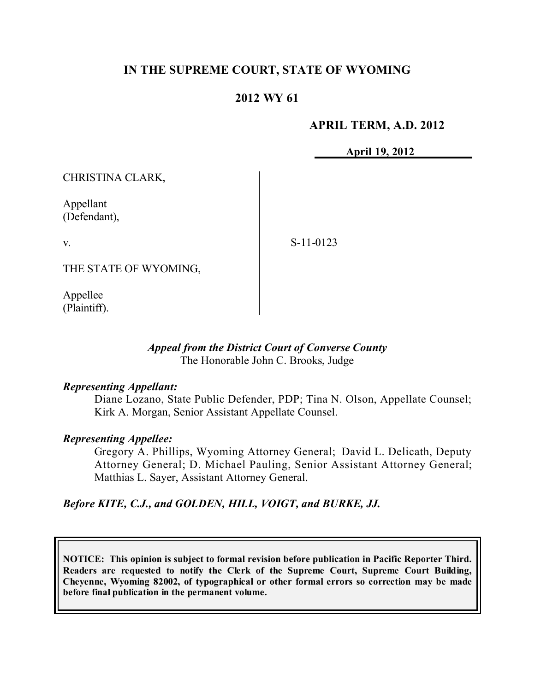# **IN THE SUPREME COURT, STATE OF WYOMING**

### **2012 WY 61**

### **APRIL TERM, A.D. 2012**

**April 19, 2012**

CHRISTINA CLARK,

Appellant (Defendant),

v.

S-11-0123

THE STATE OF WYOMING,

Appellee (Plaintiff).

#### *Appeal from the District Court of Converse County* The Honorable John C. Brooks, Judge

#### *Representing Appellant:*

Diane Lozano, State Public Defender, PDP; Tina N. Olson, Appellate Counsel; Kirk A. Morgan, Senior Assistant Appellate Counsel.

#### *Representing Appellee:*

Gregory A. Phillips, Wyoming Attorney General; David L. Delicath, Deputy Attorney General; D. Michael Pauling, Senior Assistant Attorney General; Matthias L. Sayer, Assistant Attorney General.

*Before KITE, C.J., and GOLDEN, HILL, VOIGT, and BURKE, JJ.*

**NOTICE: This opinion is subject to formal revision before publication in Pacific Reporter Third. Readers are requested to notify the Clerk of the Supreme Court, Supreme Court Building, Cheyenne, Wyoming 82002, of typographical or other formal errors so correction may be made before final publication in the permanent volume.**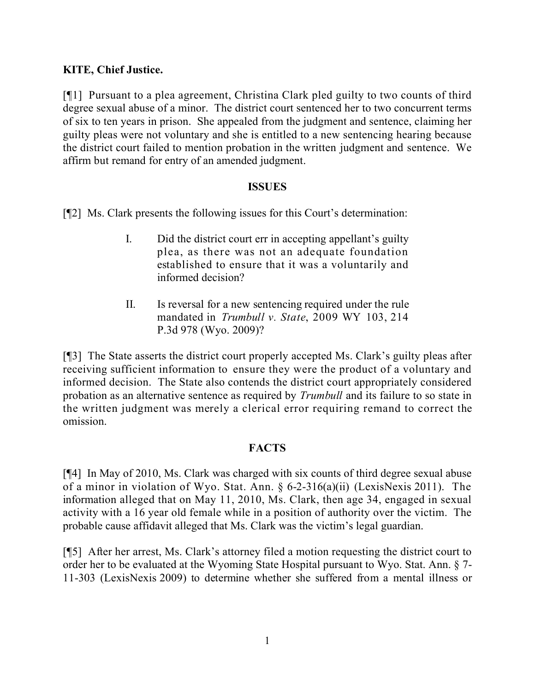# **KITE, Chief Justice.**

[¶1] Pursuant to a plea agreement, Christina Clark pled guilty to two counts of third degree sexual abuse of a minor. The district court sentenced her to two concurrent terms of six to ten years in prison. She appealed from the judgment and sentence, claiming her guilty pleas were not voluntary and she is entitled to a new sentencing hearing because the district court failed to mention probation in the written judgment and sentence. We affirm but remand for entry of an amended judgment.

#### **ISSUES**

[¶2] Ms. Clark presents the following issues for this Court's determination:

- I. Did the district court err in accepting appellant's guilty plea, as there was not an adequate foundation established to ensure that it was a voluntarily and informed decision?
- II. Is reversal for a new sentencing required under the rule mandated in *Trumbull v. State*, 2009 WY 103, 214 P.3d 978 (Wyo. 2009)?

[¶3] The State asserts the district court properly accepted Ms. Clark's guilty pleas after receiving sufficient information to ensure they were the product of a voluntary and informed decision. The State also contends the district court appropriately considered probation as an alternative sentence as required by *Trumbull* and its failure to so state in the written judgment was merely a clerical error requiring remand to correct the omission.

# **FACTS**

[¶4] In May of 2010, Ms. Clark was charged with six counts of third degree sexual abuse of a minor in violation of Wyo. Stat. Ann. § 6-2-316(a)(ii) (LexisNexis 2011). The information alleged that on May 11, 2010, Ms. Clark, then age 34, engaged in sexual activity with a 16 year old female while in a position of authority over the victim. The probable cause affidavit alleged that Ms. Clark was the victim's legal guardian.

[¶5] After her arrest, Ms. Clark's attorney filed a motion requesting the district court to order her to be evaluated at the Wyoming State Hospital pursuant to Wyo. Stat. Ann. § 7- 11-303 (LexisNexis 2009) to determine whether she suffered from a mental illness or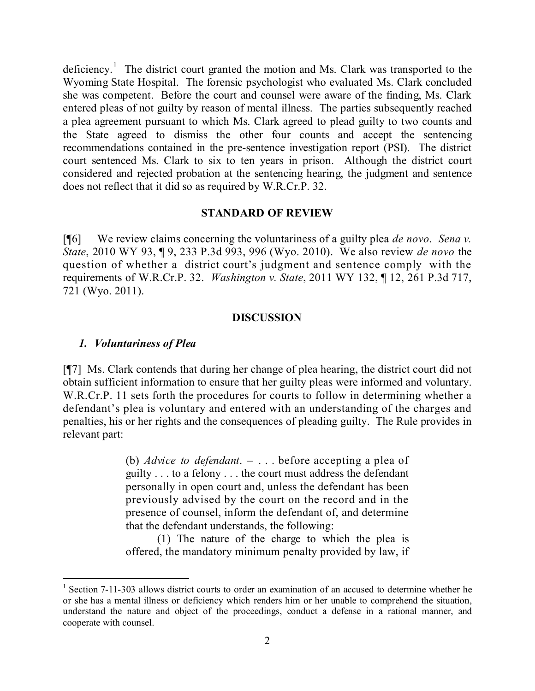deficiency.<sup>1</sup> The district court granted the motion and Ms. Clark was transported to the Wyoming State Hospital. The forensic psychologist who evaluated Ms. Clark concluded she was competent. Before the court and counsel were aware of the finding, Ms. Clark entered pleas of not guilty by reason of mental illness. The parties subsequently reached a plea agreement pursuant to which Ms. Clark agreed to plead guilty to two counts and the State agreed to dismiss the other four counts and accept the sentencing recommendations contained in the pre-sentence investigation report (PSI). The district court sentenced Ms. Clark to six to ten years in prison. Although the district court considered and rejected probation at the sentencing hearing, the judgment and sentence does not reflect that it did so as required by W.R.Cr.P. 32.

#### **STANDARD OF REVIEW**

[¶6] We review claims concerning the voluntariness of a guilty plea *de novo*. *Sena v. State*, 2010 WY 93, ¶ 9, 233 P.3d 993, 996 (Wyo. 2010). We also review *de novo* the question of whether a district court's judgment and sentence comply with the requirements of W.R.Cr.P. 32. *Washington v. State*, 2011 WY 132, ¶ 12, 261 P.3d 717, 721 (Wyo. 2011).

#### **DISCUSSION**

#### *1. Voluntariness of Plea*

 $\overline{a}$ 

[¶7] Ms. Clark contends that during her change of plea hearing, the district court did not obtain sufficient information to ensure that her guilty pleas were informed and voluntary. W.R.Cr.P. 11 sets forth the procedures for courts to follow in determining whether a defendant's plea is voluntary and entered with an understanding of the charges and penalties, his or her rights and the consequences of pleading guilty. The Rule provides in relevant part:

> (b) *Advice to defendant*. – . . . before accepting a plea of guilty . . . to a felony . . . the court must address the defendant personally in open court and, unless the defendant has been previously advised by the court on the record and in the presence of counsel, inform the defendant of, and determine that the defendant understands, the following:

> (1) The nature of the charge to which the plea is offered, the mandatory minimum penalty provided by law, if

<sup>&</sup>lt;sup>1</sup> Section 7-11-303 allows district courts to order an examination of an accused to determine whether he or she has a mental illness or deficiency which renders him or her unable to comprehend the situation, understand the nature and object of the proceedings, conduct a defense in a rational manner, and cooperate with counsel.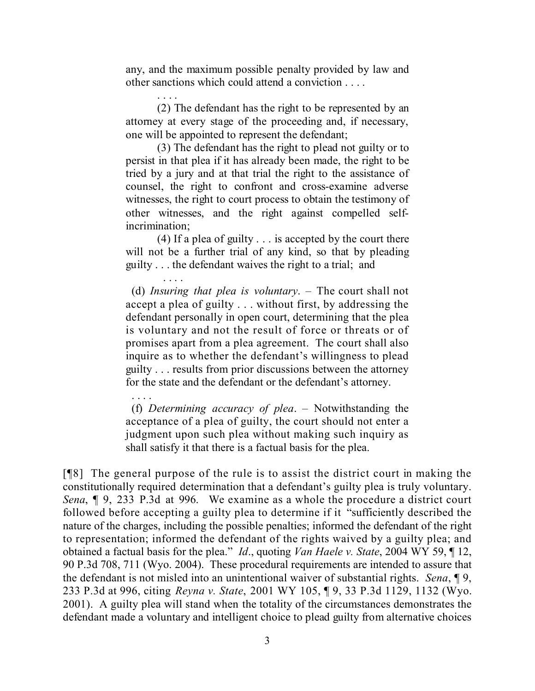any, and the maximum possible penalty provided by law and other sanctions which could attend a conviction . . . .

. . . .

. . . .

(2) The defendant has the right to be represented by an attorney at every stage of the proceeding and, if necessary, one will be appointed to represent the defendant;

(3) The defendant has the right to plead not guilty or to persist in that plea if it has already been made, the right to be tried by a jury and at that trial the right to the assistance of counsel, the right to confront and cross-examine adverse witnesses, the right to court process to obtain the testimony of other witnesses, and the right against compelled selfincrimination;

(4) If a plea of guilty . . . is accepted by the court there will not be a further trial of any kind, so that by pleading guilty . . . the defendant waives the right to a trial; and

. . . . (d) *Insuring that plea is voluntary*. – The court shall not accept a plea of guilty . . . without first, by addressing the defendant personally in open court, determining that the plea is voluntary and not the result of force or threats or of promises apart from a plea agreement. The court shall also inquire as to whether the defendant's willingness to plead guilty . . . results from prior discussions between the attorney for the state and the defendant or the defendant's attorney.

(f) *Determining accuracy of plea*. – Notwithstanding the acceptance of a plea of guilty, the court should not enter a judgment upon such plea without making such inquiry as shall satisfy it that there is a factual basis for the plea.

[¶8] The general purpose of the rule is to assist the district court in making the constitutionally required determination that a defendant's guilty plea is truly voluntary. *Sena*, ¶ 9, 233 P.3d at 996. We examine as a whole the procedure a district court followed before accepting a guilty plea to determine if it "sufficiently described the nature of the charges, including the possible penalties; informed the defendant of the right to representation; informed the defendant of the rights waived by a guilty plea; and obtained a factual basis for the plea." *Id*., quoting *Van Haele v. State*, 2004 WY 59, ¶ 12, 90 P.3d 708, 711 (Wyo. 2004). These procedural requirements are intended to assure that the defendant is not misled into an unintentional waiver of substantial rights. *Sena*, ¶ 9, 233 P.3d at 996, citing *Reyna v. State*, 2001 WY 105, ¶ 9, 33 P.3d 1129, 1132 (Wyo. 2001). A guilty plea will stand when the totality of the circumstances demonstrates the defendant made a voluntary and intelligent choice to plead guilty from alternative choices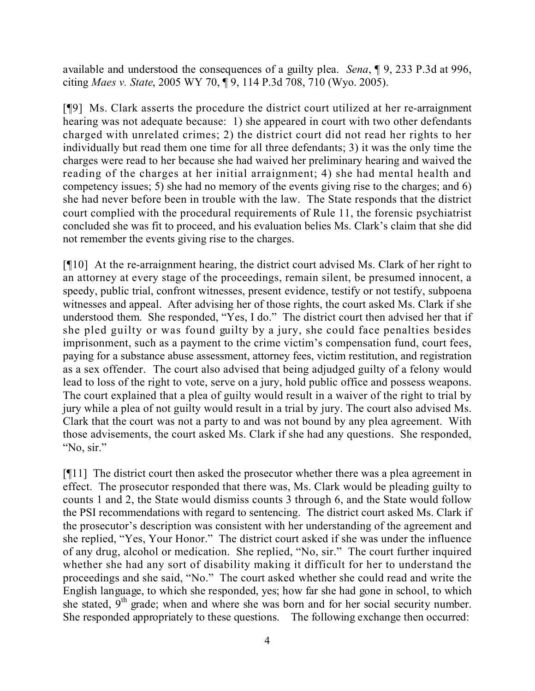available and understood the consequences of a guilty plea. *Sena*, ¶ 9, 233 P.3d at 996, citing *Maes v. State*, 2005 WY 70, ¶ 9, 114 P.3d 708, 710 (Wyo. 2005).

[¶9] Ms. Clark asserts the procedure the district court utilized at her re-arraignment hearing was not adequate because: 1) she appeared in court with two other defendants charged with unrelated crimes; 2) the district court did not read her rights to her individually but read them one time for all three defendants; 3) it was the only time the charges were read to her because she had waived her preliminary hearing and waived the reading of the charges at her initial arraignment; 4) she had mental health and competency issues; 5) she had no memory of the events giving rise to the charges; and 6) she had never before been in trouble with the law. The State responds that the district court complied with the procedural requirements of Rule 11, the forensic psychiatrist concluded she was fit to proceed, and his evaluation belies Ms. Clark's claim that she did not remember the events giving rise to the charges.

[¶10] At the re-arraignment hearing, the district court advised Ms. Clark of her right to an attorney at every stage of the proceedings, remain silent, be presumed innocent, a speedy, public trial, confront witnesses, present evidence, testify or not testify, subpoena witnesses and appeal. After advising her of those rights, the court asked Ms. Clark if she understood them. She responded, "Yes, I do." The district court then advised her that if she pled guilty or was found guilty by a jury, she could face penalties besides imprisonment, such as a payment to the crime victim's compensation fund, court fees, paying for a substance abuse assessment, attorney fees, victim restitution, and registration as a sex offender. The court also advised that being adjudged guilty of a felony would lead to loss of the right to vote, serve on a jury, hold public office and possess weapons. The court explained that a plea of guilty would result in a waiver of the right to trial by jury while a plea of not guilty would result in a trial by jury. The court also advised Ms. Clark that the court was not a party to and was not bound by any plea agreement. With those advisements, the court asked Ms. Clark if she had any questions. She responded, "No, sir."

[¶11] The district court then asked the prosecutor whether there was a plea agreement in effect. The prosecutor responded that there was, Ms. Clark would be pleading guilty to counts 1 and 2, the State would dismiss counts 3 through 6, and the State would follow the PSI recommendations with regard to sentencing. The district court asked Ms. Clark if the prosecutor's description was consistent with her understanding of the agreement and she replied, "Yes, Your Honor." The district court asked if she was under the influence of any drug, alcohol or medication. She replied, "No, sir." The court further inquired whether she had any sort of disability making it difficult for her to understand the proceedings and she said, "No." The court asked whether she could read and write the English language, to which she responded, yes; how far she had gone in school, to which she stated,  $9<sup>th</sup>$  grade; when and where she was born and for her social security number. She responded appropriately to these questions. The following exchange then occurred: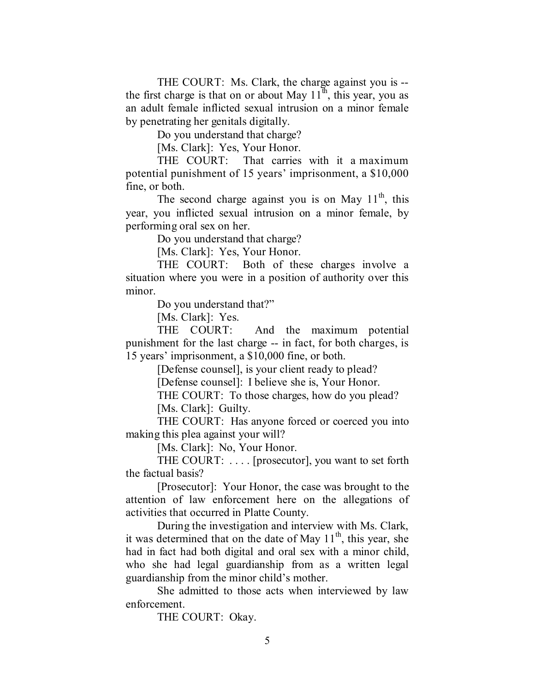THE COURT: Ms. Clark, the charge against you is - the first charge is that on or about May  $11^{\overline{h}}$ , this year, you as an adult female inflicted sexual intrusion on a minor female by penetrating her genitals digitally.

Do you understand that charge?

[Ms. Clark]: Yes, Your Honor.

THE COURT: That carries with it a maximum potential punishment of 15 years' imprisonment, a \$10,000 fine, or both.

The second charge against you is on May  $11^{th}$ , this year, you inflicted sexual intrusion on a minor female, by performing oral sex on her.

Do you understand that charge?

[Ms. Clark]: Yes, Your Honor.

THE COURT: Both of these charges involve a situation where you were in a position of authority over this minor.

Do you understand that?"

[Ms. Clark]: Yes.

THE COURT: And the maximum potential punishment for the last charge -- in fact, for both charges, is 15 years' imprisonment, a \$10,000 fine, or both.

[Defense counsel], is your client ready to plead?

[Defense counsel]: I believe she is, Your Honor.

THE COURT: To those charges, how do you plead?

[Ms. Clark]: Guilty.

THE COURT: Has anyone forced or coerced you into making this plea against your will?

[Ms. Clark]: No, Your Honor.

THE COURT: . . . . [prosecutor], you want to set forth the factual basis?

[Prosecutor]: Your Honor, the case was brought to the attention of law enforcement here on the allegations of activities that occurred in Platte County.

During the investigation and interview with Ms. Clark, it was determined that on the date of May  $11<sup>th</sup>$ , this year, she had in fact had both digital and oral sex with a minor child, who she had legal guardianship from as a written legal guardianship from the minor child's mother.

She admitted to those acts when interviewed by law enforcement.

THE COURT: Okay.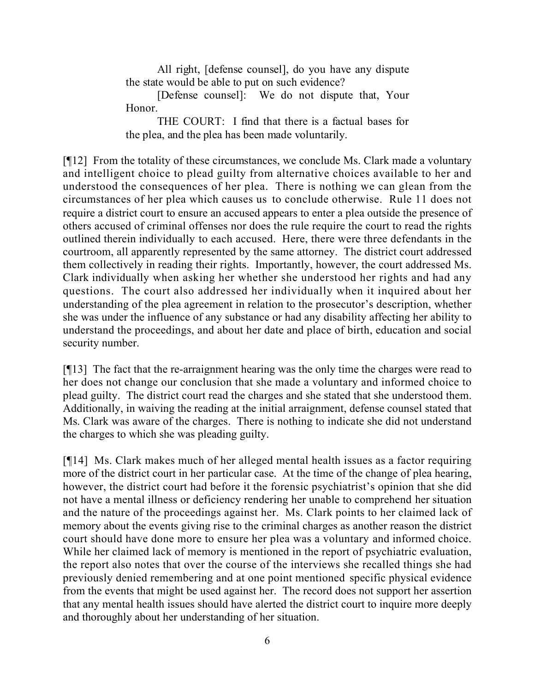All right, [defense counsel], do you have any dispute the state would be able to put on such evidence?

[Defense counsel]: We do not dispute that, Your Honor.

THE COURT: I find that there is a factual bases for the plea, and the plea has been made voluntarily.

[¶12] From the totality of these circumstances, we conclude Ms. Clark made a voluntary and intelligent choice to plead guilty from alternative choices available to her and understood the consequences of her plea. There is nothing we can glean from the circumstances of her plea which causes us to conclude otherwise. Rule 11 does not require a district court to ensure an accused appears to enter a plea outside the presence of others accused of criminal offenses nor does the rule require the court to read the rights outlined therein individually to each accused. Here, there were three defendants in the courtroom, all apparently represented by the same attorney. The district court addressed them collectively in reading their rights. Importantly, however, the court addressed Ms. Clark individually when asking her whether she understood her rights and had any questions. The court also addressed her individually when it inquired about her understanding of the plea agreement in relation to the prosecutor's description, whether she was under the influence of any substance or had any disability affecting her ability to understand the proceedings, and about her date and place of birth, education and social security number.

[¶13] The fact that the re-arraignment hearing was the only time the charges were read to her does not change our conclusion that she made a voluntary and informed choice to plead guilty. The district court read the charges and she stated that she understood them. Additionally, in waiving the reading at the initial arraignment, defense counsel stated that Ms. Clark was aware of the charges. There is nothing to indicate she did not understand the charges to which she was pleading guilty.

[¶14] Ms. Clark makes much of her alleged mental health issues as a factor requiring more of the district court in her particular case. At the time of the change of plea hearing, however, the district court had before it the forensic psychiatrist's opinion that she did not have a mental illness or deficiency rendering her unable to comprehend her situation and the nature of the proceedings against her. Ms. Clark points to her claimed lack of memory about the events giving rise to the criminal charges as another reason the district court should have done more to ensure her plea was a voluntary and informed choice. While her claimed lack of memory is mentioned in the report of psychiatric evaluation, the report also notes that over the course of the interviews she recalled things she had previously denied remembering and at one point mentioned specific physical evidence from the events that might be used against her. The record does not support her assertion that any mental health issues should have alerted the district court to inquire more deeply and thoroughly about her understanding of her situation.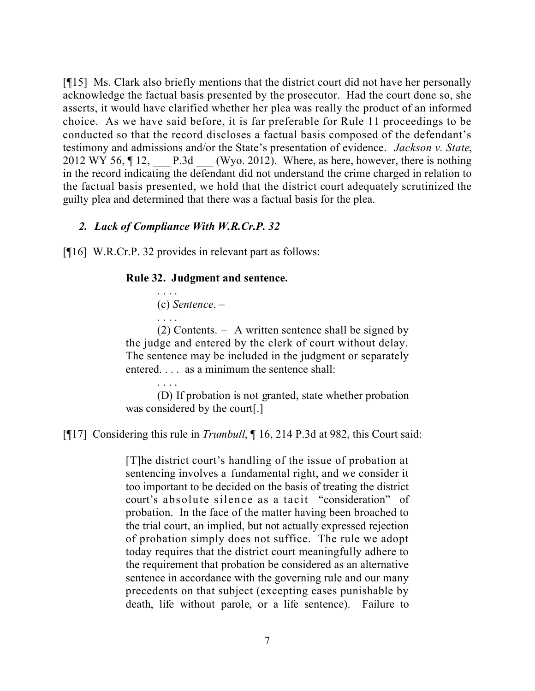[¶15] Ms. Clark also briefly mentions that the district court did not have her personally acknowledge the factual basis presented by the prosecutor. Had the court done so, she asserts, it would have clarified whether her plea was really the product of an informed choice. As we have said before, it is far preferable for Rule 11 proceedings to be conducted so that the record discloses a factual basis composed of the defendant's testimony and admissions and/or the State's presentation of evidence. *Jackson v. State*, 2012 WY 56,  $\P$  12, P.3d (Wyo. 2012). Where, as here, however, there is nothing in the record indicating the defendant did not understand the crime charged in relation to the factual basis presented, we hold that the district court adequately scrutinized the guilty plea and determined that there was a factual basis for the plea.

### *2. Lack of Compliance With W.R.Cr.P. 32*

[¶16] W.R.Cr.P. 32 provides in relevant part as follows:

#### **Rule 32. Judgment and sentence.**

. . . . (c) *Sentence*. – . . . .

(2) Contents. – A written sentence shall be signed by the judge and entered by the clerk of court without delay. The sentence may be included in the judgment or separately entered. . . . as a minimum the sentence shall:

. . . . (D) If probation is not granted, state whether probation was considered by the court[.]

[¶17] Considering this rule in *Trumbull*, ¶ 16, 214 P.3d at 982, this Court said:

[T]he district court's handling of the issue of probation at sentencing involves a fundamental right, and we consider it too important to be decided on the basis of treating the district court's absolute silence as a tacit "consideration" of probation. In the face of the matter having been broached to the trial court, an implied, but not actually expressed rejection of probation simply does not suffice. The rule we adopt today requires that the district court meaningfully adhere to the requirement that probation be considered as an alternative sentence in accordance with the governing rule and our many precedents on that subject (excepting cases punishable by death, life without parole, or a life sentence). Failure to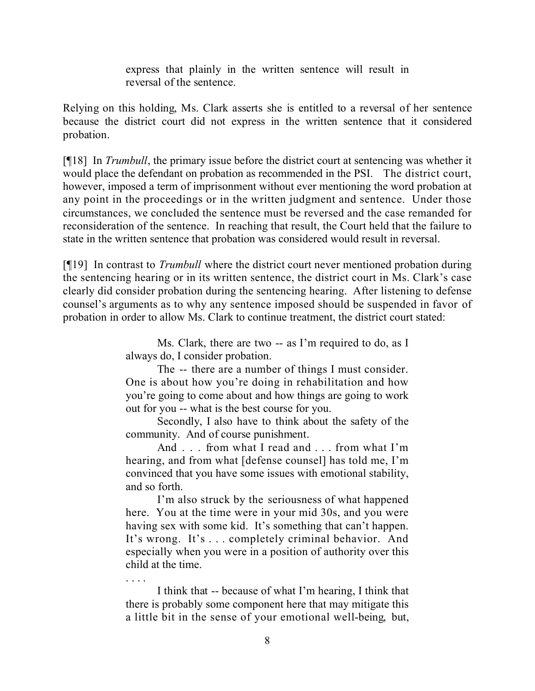express that plainly in the written sentence will result in reversal of the sentence.

Relying on this holding, Ms. Clark asserts she is entitled to a reversal of her sentence because the district court did not express in the written sentence that it considered probation.

[¶18] In *Trumbull*, the primary issue before the district court at sentencing was whether it would place the defendant on probation as recommended in the PSI. The district court, however, imposed a term of imprisonment without ever mentioning the word probation at any point in the proceedings or in the written judgment and sentence. Under those circumstances, we concluded the sentence must be reversed and the case remanded for reconsideration of the sentence. In reaching that result, the Court held that the failure to state in the written sentence that probation was considered would result in reversal.

[¶19] In contrast to *Trumbull* where the district court never mentioned probation during the sentencing hearing or in its written sentence, the district court in Ms. Clark's case clearly did consider probation during the sentencing hearing. After listening to defense counsel's arguments as to why any sentence imposed should be suspended in favor of probation in order to allow Ms. Clark to continue treatment, the district court stated:

> Ms. Clark, there are two -- as I'm required to do, as I always do, I consider probation.

> The -- there are a number of things I must consider. One is about how you're doing in rehabilitation and how you're going to come about and how things are going to work out for you -- what is the best course for you.

> Secondly, I also have to think about the safety of the community. And of course punishment.

> And . . . from what I read and . . . from what I'm hearing, and from what [defense counsel] has told me, I'm convinced that you have some issues with emotional stability, and so forth.

> I'm also struck by the seriousness of what happened here. You at the time were in your mid 30s, and you were having sex with some kid. It's something that can't happen. It's wrong. It's . . . completely criminal behavior. And especially when you were in a position of authority over this child at the time.

> . . . . I think that -- because of what I'm hearing, I think that there is probably some component here that may mitigate this a little bit in the sense of your emotional well-being, but,